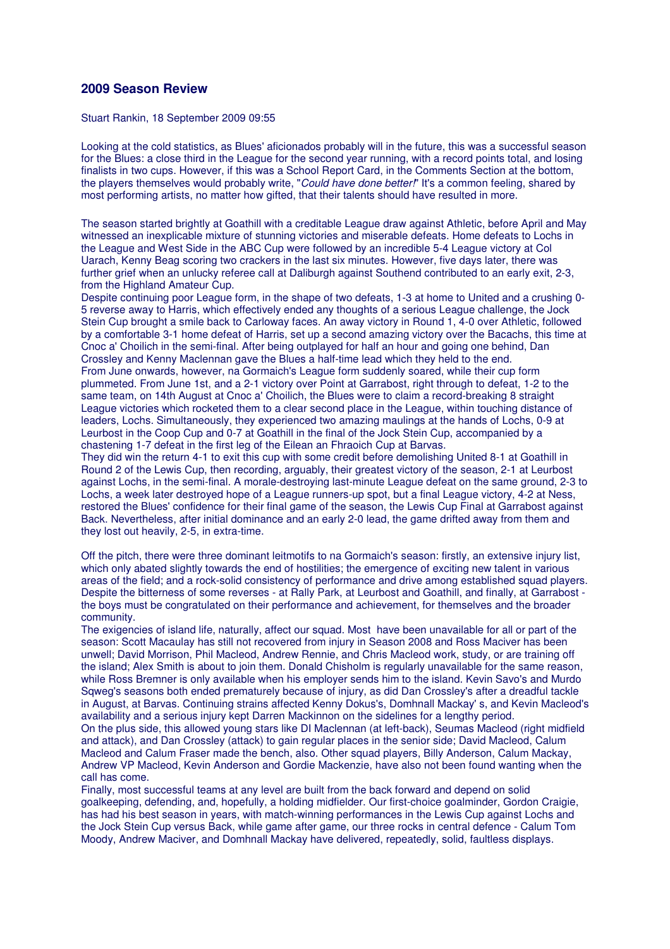## **2009 Season Review**

Stuart Rankin, 18 September 2009 09:55

Looking at the cold statistics, as Blues' aficionados probably will in the future, this was a successful season for the Blues: a close third in the League for the second year running, with a record points total, and losing finalists in two cups. However, if this was a School Report Card, in the Comments Section at the bottom, the players themselves would probably write, "Could have done better!" It's a common feeling, shared by most performing artists, no matter how gifted, that their talents should have resulted in more.

The season started brightly at Goathill with a creditable League draw against Athletic, before April and May witnessed an inexplicable mixture of stunning victories and miserable defeats. Home defeats to Lochs in the League and West Side in the ABC Cup were followed by an incredible 5-4 League victory at Col Uarach, Kenny Beag scoring two crackers in the last six minutes. However, five days later, there was further grief when an unlucky referee call at Daliburgh against Southend contributed to an early exit, 2-3, from the Highland Amateur Cup.

Despite continuing poor League form, in the shape of two defeats, 1-3 at home to United and a crushing 0- 5 reverse away to Harris, which effectively ended any thoughts of a serious League challenge, the Jock Stein Cup brought a smile back to Carloway faces. An away victory in Round 1, 4-0 over Athletic, followed by a comfortable 3-1 home defeat of Harris, set up a second amazing victory over the Bacachs, this time at Cnoc a' Choilich in the semi-final. After being outplayed for half an hour and going one behind, Dan Crossley and Kenny Maclennan gave the Blues a half-time lead which they held to the end. From June onwards, however, na Gormaich's League form suddenly soared, while their cup form plummeted. From June 1st, and a 2-1 victory over Point at Garrabost, right through to defeat, 1-2 to the same team, on 14th August at Cnoc a' Choilich, the Blues were to claim a record-breaking 8 straight League victories which rocketed them to a clear second place in the League, within touching distance of leaders, Lochs. Simultaneously, they experienced two amazing maulings at the hands of Lochs, 0-9 at Leurbost in the Coop Cup and 0-7 at Goathill in the final of the Jock Stein Cup, accompanied by a chastening 1-7 defeat in the first leg of the Eilean an Fhraoich Cup at Barvas.

They did win the return 4-1 to exit this cup with some credit before demolishing United 8-1 at Goathill in Round 2 of the Lewis Cup, then recording, arguably, their greatest victory of the season, 2-1 at Leurbost against Lochs, in the semi-final. A morale-destroying last-minute League defeat on the same ground, 2-3 to Lochs, a week later destroyed hope of a League runners-up spot, but a final League victory, 4-2 at Ness, restored the Blues' confidence for their final game of the season, the Lewis Cup Final at Garrabost against Back. Nevertheless, after initial dominance and an early 2-0 lead, the game drifted away from them and they lost out heavily, 2-5, in extra-time.

Off the pitch, there were three dominant leitmotifs to na Gormaich's season: firstly, an extensive injury list, which only abated slightly towards the end of hostilities; the emergence of exciting new talent in various areas of the field; and a rock-solid consistency of performance and drive among established squad players. Despite the bitterness of some reverses - at Rally Park, at Leurbost and Goathill, and finally, at Garrabost the boys must be congratulated on their performance and achievement, for themselves and the broader community.

The exigencies of island life, naturally, affect our squad. Most have been unavailable for all or part of the season: Scott Macaulay has still not recovered from injury in Season 2008 and Ross Maciver has been unwell; David Morrison, Phil Macleod, Andrew Rennie, and Chris Macleod work, study, or are training off the island; Alex Smith is about to join them. Donald Chisholm is regularly unavailable for the same reason, while Ross Bremner is only available when his employer sends him to the island. Kevin Savo's and Murdo Sqweg's seasons both ended prematurely because of injury, as did Dan Crossley's after a dreadful tackle in August, at Barvas. Continuing strains affected Kenny Dokus's, Domhnall Mackay' s, and Kevin Macleod's availability and a serious injury kept Darren Mackinnon on the sidelines for a lengthy period.

On the plus side, this allowed young stars like DI Maclennan (at left-back), Seumas Macleod (right midfield and attack), and Dan Crossley (attack) to gain regular places in the senior side; David Macleod, Calum Macleod and Calum Fraser made the bench, also. Other squad players, Billy Anderson, Calum Mackay, Andrew VP Macleod, Kevin Anderson and Gordie Mackenzie, have also not been found wanting when the call has come.

Finally, most successful teams at any level are built from the back forward and depend on solid goalkeeping, defending, and, hopefully, a holding midfielder. Our first-choice goalminder, Gordon Craigie, has had his best season in years, with match-winning performances in the Lewis Cup against Lochs and the Jock Stein Cup versus Back, while game after game, our three rocks in central defence - Calum Tom Moody, Andrew Maciver, and Domhnall Mackay have delivered, repeatedly, solid, faultless displays.